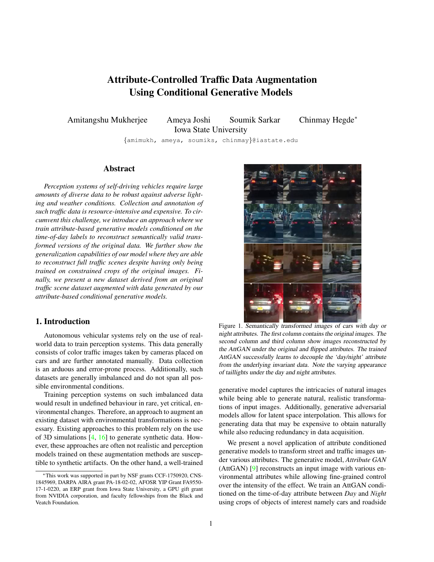# Attribute-Controlled Traffic Data Augmentation Using Conditional Generative Models

<span id="page-0-1"></span>Amitangshu Mukherjee Ameya Joshi Soumik Sarkar Chinmay Hegde<sup>∗</sup> Iowa State University

{amimukh, ameya, soumiks, chinmay}@iastate.edu

## Abstract

*Perception systems of self-driving vehicles require large amounts of diverse data to be robust against adverse lighting and weather conditions. Collection and annotation of such traffic data is resource-intensive and expensive. To circumvent this challenge, we introduce an approach where we train attribute-based generative models conditioned on the time-of-day labels to reconstruct semantically valid transformed versions of the original data. We further show the generalization capabilities of our model where they are able to reconstruct full traffic scenes despite having only being trained on constrained crops of the original images. Finally, we present a new dataset derived from an original traffic scene dataset augmented with data generated by our attribute-based conditional generative models.*

# 1. Introduction

Autonomous vehicular systems rely on the use of realworld data to train perception systems. This data generally consists of color traffic images taken by cameras placed on cars and are further annotated manually. Data collection is an arduous and error-prone process. Additionally, such datasets are generally imbalanced and do not span all possible environmental conditions.

Training perception systems on such imbalanced data would result in undefined behaviour in rare, yet critical, environmental changes. Therefore, an approach to augment an existing dataset with environmental transformations is necessary. Existing approaches to this problem rely on the use of 3D simulations [\[4,](#page-4-0) [16\]](#page-4-1) to generate synthetic data. However, these approaches are often not realistic and perception models trained on these augmentation methods are susceptible to synthetic artifacts. On the other hand, a well-trained



Figure 1. Semantically transformed images of cars with day or night attributes. The first column contains the original images. The second column and third column show images reconstructed by the AttGAN under the original and flipped attributes. The trained AttGAN successfully learns to decouple the 'day/night' attribute from the underlying invariant data. Note the varying appearance of taillights under the day and night attributes.

<span id="page-0-0"></span>generative model captures the intricacies of natural images while being able to generate natural, realistic transformations of input images. Additionally, generative adversarial models allow for latent space interpolation. This allows for generating data that may be expensive to obtain naturally while also reducing redundancy in data acquisition.

We present a novel application of attribute conditioned generative models to transform street and traffic images under various attributes. The generative model, *Attribute GAN* (AttGAN) [\[9\]](#page-4-2) reconstructs an input image with various environmental attributes while allowing fine-grained control over the intensity of the effect. We train an AttGAN conditioned on the time-of-day attribute between *Day* and *Night* using crops of objects of interest namely cars and roadside

<sup>∗</sup>This work was supported in part by NSF grants CCF-1750920, CNS-1845969, DARPA AIRA grant PA-18-02-02, AFOSR YIP Grant FA9550- 17-1-0220, an ERP grant from Iowa State University, a GPU gift grant from NVIDIA corporation, and faculty fellowships from the Black and Veatch Foundation.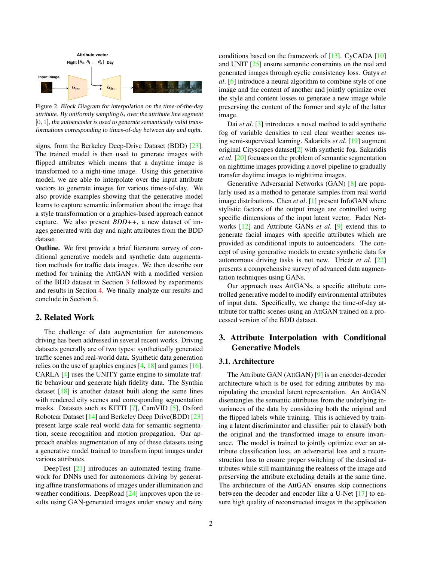<span id="page-1-2"></span>

Figure 2. Block Diagram for interpolation on the time-of-the-day attribute. By uniformly sampling  $\theta_i$  over the attribute line segment  $[0, 1]$ , the autoencoder is used to generate semantically valid transformations corresponding to times-of-day between day and night.

signs, from the Berkeley Deep-Drive Dataset (BDD) [\[23\]](#page-4-3). The trained model is then used to generate images with flipped attributes which means that a daytime image is transformed to a night-time image. Using this generative model, we are able to interpolate over the input attribute vectors to generate images for various times-of-day. We also provide examples showing that the generative model learns to capture semantic information about the image that a style transformation or a graphics-based approach cannot capture. We also present *BDD++*, a new dataset of images generated with day and night attributes from the BDD dataset.

**Outline.** We first provide a brief literature survey of conditional generative models and synthetic data augmentation methods for traffic data images. We then describe our method for training the AttGAN with a modified version of the BDD dataset in Section [3](#page-1-0) followed by experiments and results in Section [4.](#page-2-0) We finally analyze our results and conclude in Section [5.](#page-3-0)

## 2. Related Work

The challenge of data augmentation for autonomous driving has been addressed in several recent works. Driving datasets generally are of two types: synthetically generated traffic scenes and real-world data. Synthetic data generation relies on the use of graphics engines [\[4,](#page-4-0) [18\]](#page-4-4) and games [\[16\]](#page-4-1). CARLA [\[4\]](#page-4-0) uses the UNITY game engine to simulate traffic behaviour and generate high fidelity data. The Synthia dataset  $[18]$  is another dataset built along the same lines with rendered city scenes and corresponding segmentation masks. Datasets such as KITTI [\[7\]](#page-4-5), CamVID [\[5\]](#page-4-6), Oxford Robotcar Dataset [\[14\]](#page-4-7) and Berkeley Deep Drive(BDD) [\[23\]](#page-4-3) present large scale real world data for semantic segmentation, scene recognition and motion propagation. Our approach enables augmentation of any of these datasets using a generative model trained to transform input images under various attributes.

DeepTest [\[21\]](#page-4-8) introduces an automated testing framework for DNNs used for autonomous driving by generating affine transformations of images under illumination and weather conditions. DeepRoad [\[24\]](#page-4-9) improves upon the results using GAN-generated images under snowy and rainy conditions based on the framework of  $[13]$ . CyCADA  $[10]$ and UNIT [\[25\]](#page-4-12) ensure semantic constraints on the real and generated images through cyclic consistency loss. Gatys *et al*. [\[6\]](#page-4-13) introduce a neural algorithm to combine style of one image and the content of another and jointly optimize over the style and content losses to generate a new image while preserving the content of the former and style of the latter image.

Dai *et al*. [\[3\]](#page-4-14) introduces a novel method to add synthetic fog of variable densities to real clear weather scenes using semi-supervised learning. Sakaridis *et al*. [\[19\]](#page-4-15) augment original Cityscapes dataset[\[2\]](#page-4-16) with synthetic fog. Sakaridis *et al*. [\[20\]](#page-4-17) focuses on the problem of semantic segmentation on nighttime images providing a novel pipeline to gradually transfer daytime images to nighttime images.

Generative Adversarial Networks (GAN) [\[8\]](#page-4-18) are popularly used as a method to generate samples from real world image distributions. Chen *et al*. [\[1\]](#page-4-19) present InfoGAN where stylistic factors of the output image are controlled using specific dimensions of the input latent vector. Fader Networks [\[12\]](#page-4-20) and Attribute GANs *et al*. [\[9\]](#page-4-2) extend this to generate facial images with specific attributes which are provided as conditional inputs to autoencoders. The concept of using generative models to create synthetic data for autonomous driving tasks is not new. Uricar *et al.* [\[22\]](#page-4-21) presents a comprehensive survey of advanced data augmentation techniques using GANs.

Our approach uses AttGANs, a specific attribute controlled generative model to modify environmental attributes of input data. Specifically, we change the time-of-day attribute for traffic scenes using an AttGAN trained on a processed version of the BDD dataset.

# <span id="page-1-0"></span>3. Attribute Interpolation with Conditional Generative Models

#### <span id="page-1-1"></span>3.1. Architecture

The Attribute GAN (AttGAN) [\[9\]](#page-4-2) is an encoder-decoder architecture which is be used for editing attributes by manipulating the encoded latent representation. An AttGAN disentangles the semantic attributes from the underlying invariances of the data by considering both the original and the flipped labels while training. This is achieved by training a latent discriminator and classifier pair to classify both the original and the transformed image to ensure invariance. The model is trained to jointly optimize over an attribute classification loss, an adversarial loss and a reconstruction loss to ensure proper switching of the desired attributes while still maintaining the realness of the image and preserving the attribute excluding details at the same time. The architecture of the AttGAN ensures skip connections between the decoder and encoder like a U-Net [\[17\]](#page-4-22) to ensure high quality of reconstructed images in the application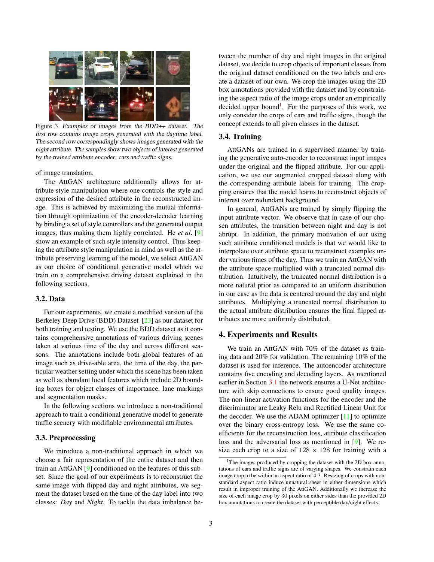<span id="page-2-2"></span>

Figure 3. Examples of images from the BDD++ dataset. The first row contains image crops generated with the daytime label. The second row correspondingly shows images generated with the night attribute. The samples show two objects of interest generated by the trained attribute encoder: cars and traffic signs.

of image translation.

The AttGAN architecture additionally allows for attribute style manipulation where one controls the style and expression of the desired attribute in the reconstructed image. This is achieved by maximizing the mutual information through optimization of the encoder-decoder learning by binding a set of style controllers and the generated output images, thus making them highly correlated. He *et al*. [\[9\]](#page-4-2) show an example of such style intensity control. Thus keeping the attribute style manipulation in mind as well as the attribute preserving learning of the model, we select AttGAN as our choice of conditional generative model which we train on a comprehensive driving dataset explained in the following sections.

## 3.2. Data

For our experiments, we create a modified version of the Berkeley Deep Drive (BDD) Dataset [\[23\]](#page-4-3) as our dataset for both training and testing. We use the BDD dataset as it contains comprehensive annotations of various driving scenes taken at various time of the day and across different seasons. The annotations include both global features of an image such as drive-able area, the time of the day, the particular weather setting under which the scene has been taken as well as abundant local features which include 2D bounding boxes for object classes of importance, lane markings and segmentation masks.

In the following sections we introduce a non-traditional approach to train a conditional generative model to generate traffic scenery with modifiable environmental attributes.

#### 3.3. Preprocessing

We introduce a non-traditional approach in which we choose a fair representation of the entire dataset and then train an AttGAN [\[9\]](#page-4-2) conditioned on the features of this subset. Since the goal of our experiments is to reconstruct the same image with flipped day and night attributes, we segment the dataset based on the time of the day label into two classes: *Day* and *Night*. To tackle the data imbalance between the number of day and night images in the original dataset, we decide to crop objects of important classes from the original dataset conditioned on the two labels and create a dataset of our own. We crop the images using the 2D box annotations provided with the dataset and by constraining the aspect ratio of the image crops under an empirically decided upper bound<sup>[1](#page-2-1)</sup>. For the purposes of this work, we only consider the crops of cars and traffic signs, though the concept extends to all given classes in the dataset.

#### 3.4. Training

AttGANs are trained in a supervised manner by training the generative auto-encoder to reconstruct input images under the original and the flipped attribute. For our application, we use our augmented cropped dataset along with the corresponding attribute labels for training. The cropping ensures that the model learns to reconstruct objects of interest over redundant background.

In general, AttGANs are trained by simply flipping the input attribute vector. We observe that in case of our chosen attributes, the transition between night and day is not abrupt. In addition, the primary motivation of our using such attribute conditioned models is that we would like to interpolate over attribute space to reconstruct examples under various times of the day. Thus we train an AttGAN with the attribute space multiplied with a truncated normal distribution. Intuitively, the truncated normal distribution is a more natural prior as compared to an uniform distribution in our case as the data is centered around the day and night attributes. Multiplying a truncated normal distribution to the actual attribute distribution ensures the final flipped attributes are more uniformly distributed.

#### <span id="page-2-0"></span>4. Experiments and Results

We train an AttGAN with 70% of the dataset as training data and 20% for validation. The remaining 10% of the dataset is used for inference. The autoencoder architecture contains five encoding and decoding layers. As mentioned earlier in Section [3.1](#page-1-1) the network ensures a U-Net architecture with skip connections to ensure good quality images. The non-linear activation functions for the encoder and the discriminator are Leaky Relu and Rectified Linear Unit for the decoder. We use the ADAM optimizer  $[11]$  to optimize over the binary cross-entropy loss. We use the same coefficients for the reconstruction loss, attribute classification loss and the adversarial loss as mentioned in [\[9\]](#page-4-2). We resize each crop to a size of  $128 \times 128$  for training with a

<span id="page-2-1"></span><sup>&</sup>lt;sup>1</sup>The images produced by cropping the dataset with the 2D box annotations of cars and traffic signs are of varying shapes. We constrain each image crop to be within an aspect ratio of 4:3. Resizing of crops with nonstandard aspect ratio induce unnatural sheer in either dimensions which result in improper training of the AttGAN. Additionally we increase the size of each image crop by 30 pixels on either sides than the provided 2D box annotations to create the dataset with perceptible day/night effects.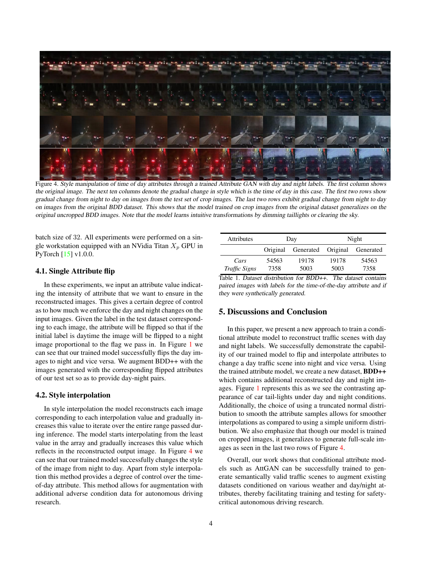<span id="page-3-2"></span>

Figure 4. Style manipulation of time of day attributes through a trained Attribute GAN with day and night labels. The first column shows the original image. The next ten columns denote the gradual change in style which is the time of day in this case. The first two rows show gradual change from night to day on images from the test set of crop images. The last two rows exhibit gradual change from night to day on images from the original BDD dataset. This shows that the model trained on crop images from the original dataset generalizes on the original uncropped BDD images. Note that the model learns intuitive transformations by dimming taillights or clearing the sky.

<span id="page-3-1"></span>batch size of 32. All experiments were performed on a single workstation equipped with an NVidia Titan  $X_p$  GPU in PyTorch [\[15\]](#page-4-24) v1.0.0.

#### 4.1. Single Attribute flip

In these experiments, we input an attribute value indicating the intensity of attribute that we want to ensure in the reconstructed images. This gives a certain degree of control as to how much we enforce the day and night changes on the input images. Given the label in the test dataset corresponding to each image, the attribute will be flipped so that if the initial label is daytime the image will be flipped to a night image proportional to the flag we pass in. In Figure [1](#page-0-0) we can see that our trained model successfully flips the day images to night and vice versa. We augment BDD++ with the images generated with the corresponding flipped attributes of our test set so as to provide day-night pairs.

#### 4.2. Style interpolation

In style interpolation the model reconstructs each image corresponding to each interpolation value and gradually increases this value to iterate over the entire range passed during inference. The model starts interpolating from the least value in the array and gradually increases this value which reflects in the reconstructed output image. In Figure [4](#page-3-1) we can see that our trained model successfully changes the style of the image from night to day. Apart from style interpolation this method provides a degree of control over the timeof-day attribute. This method allows for augmentation with additional adverse condition data for autonomous driving research.

| <b>Attributes</b> | Day      |                              | Night |       |
|-------------------|----------|------------------------------|-------|-------|
|                   | Original | Generated Original Generated |       |       |
| Cars              | 54563    | 19178                        | 19178 | 54563 |
| Traffic Signs     | 7358     | 5003                         | 5003  | 7358  |

Table 1. Dataset distribution for BDD++. The dataset contains paired images with labels for the time-of-the-day attribute and if they were synthetically generated.

# <span id="page-3-0"></span>5. Discussions and Conclusion

In this paper, we present a new approach to train a conditional attribute model to reconstruct traffic scenes with day and night labels. We successfully demonstrate the capability of our trained model to flip and interpolate attributes to change a day traffic scene into night and vice versa. Using the trained attribute model, we create a new dataset, BDD++ which contains additional reconstructed day and night images. Figure [1](#page-0-0) represents this as we see the contrasting appearance of car tail-lights under day and night conditions. Additionally, the choice of using a truncated normal distribution to smooth the attribute samples allows for smoother interpolations as compared to using a simple uniform distribution. We also emphasize that though our model is trained on cropped images, it generalizes to generate full-scale images as seen in the last two rows of Figure [4.](#page-3-1)

Overall, our work shows that conditional attribute models such as AttGAN can be successfully trained to generate semantically valid traffic scenes to augment existing datasets conditioned on various weather and day/night attributes, thereby facilitating training and testing for safetycritical autonomous driving research.